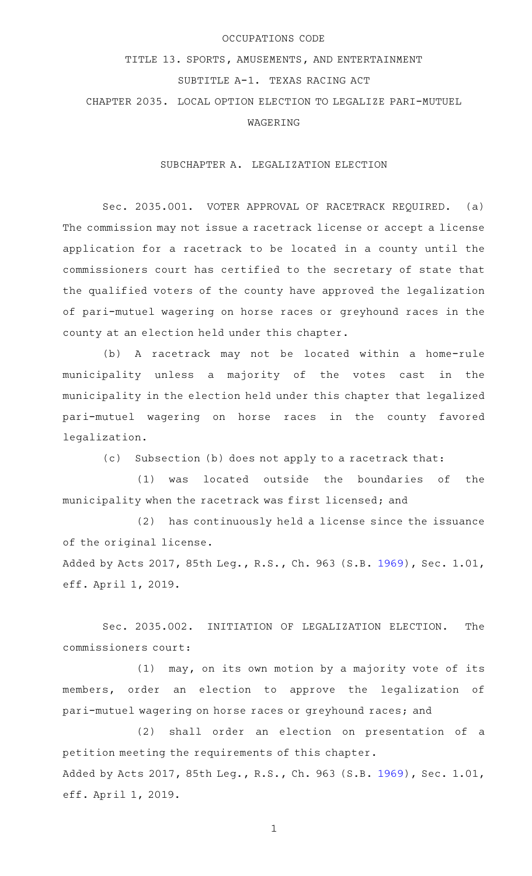## OCCUPATIONS CODE

## TITLE 13. SPORTS, AMUSEMENTS, AND ENTERTAINMENT SUBTITLE A-1. TEXAS RACING ACT

CHAPTER 2035. LOCAL OPTION ELECTION TO LEGALIZE PARI-MUTUEL WAGERING

SUBCHAPTER A. LEGALIZATION ELECTION

Sec. 2035.001. VOTER APPROVAL OF RACETRACK REQUIRED. (a) The commission may not issue a racetrack license or accept a license application for a racetrack to be located in a county until the commissioners court has certified to the secretary of state that the qualified voters of the county have approved the legalization of pari-mutuel wagering on horse races or greyhound races in the county at an election held under this chapter.

(b) A racetrack may not be located within a home-rule municipality unless a majority of the votes cast in the municipality in the election held under this chapter that legalized pari-mutuel wagering on horse races in the county favored legalization.

(c) Subsection (b) does not apply to a racetrack that:

(1) was located outside the boundaries of the municipality when the racetrack was first licensed; and

 $(2)$  has continuously held a license since the issuance of the original license.

Added by Acts 2017, 85th Leg., R.S., Ch. 963 (S.B. [1969](http://www.legis.state.tx.us/tlodocs/85R/billtext/html/SB01969F.HTM)), Sec. 1.01, eff. April 1, 2019.

Sec. 2035.002. INITIATION OF LEGALIZATION ELECTION. The commissioners court:

 $(1)$  may, on its own motion by a majority vote of its members, order an election to approve the legalization of pari-mutuel wagering on horse races or greyhound races; and

(2) shall order an election on presentation of a petition meeting the requirements of this chapter. Added by Acts 2017, 85th Leg., R.S., Ch. 963 (S.B. [1969](http://www.legis.state.tx.us/tlodocs/85R/billtext/html/SB01969F.HTM)), Sec. 1.01, eff. April 1, 2019.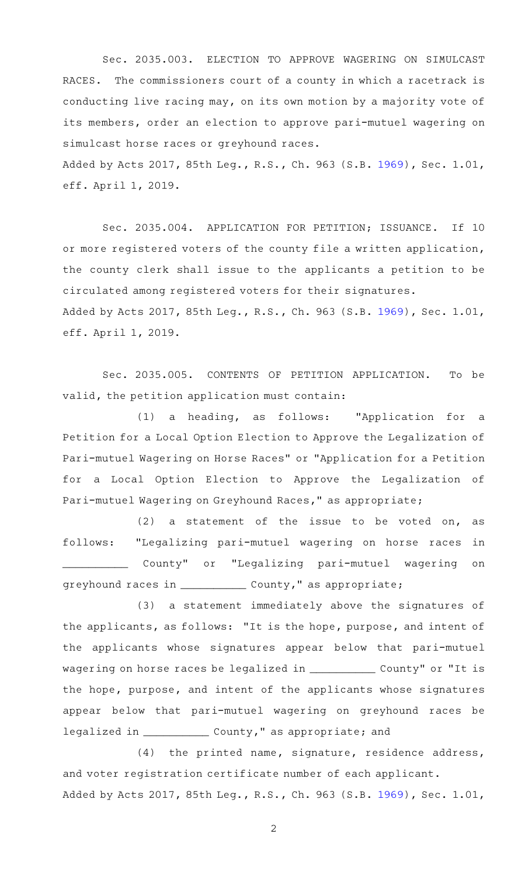Sec. 2035.003. ELECTION TO APPROVE WAGERING ON SIMULCAST RACES. The commissioners court of a county in which a racetrack is conducting live racing may, on its own motion by a majority vote of its members, order an election to approve pari-mutuel wagering on simulcast horse races or greyhound races.

Added by Acts 2017, 85th Leg., R.S., Ch. 963 (S.B. [1969](http://www.legis.state.tx.us/tlodocs/85R/billtext/html/SB01969F.HTM)), Sec. 1.01, eff. April 1, 2019.

Sec. 2035.004. APPLICATION FOR PETITION; ISSUANCE. If 10 or more registered voters of the county file a written application, the county clerk shall issue to the applicants a petition to be circulated among registered voters for their signatures. Added by Acts 2017, 85th Leg., R.S., Ch. 963 (S.B. [1969](http://www.legis.state.tx.us/tlodocs/85R/billtext/html/SB01969F.HTM)), Sec. 1.01, eff. April 1, 2019.

Sec. 2035.005. CONTENTS OF PETITION APPLICATION. To be valid, the petition application must contain:

(1) a heading, as follows: "Application for a Petition for a Local Option Election to Approve the Legalization of Pari-mutuel Wagering on Horse Races" or "Application for a Petition for a Local Option Election to Approve the Legalization of Pari-mutuel Wagering on Greyhound Races," as appropriate;

 $(2)$  a statement of the issue to be voted on, as follows: "Legalizing pari-mutuel wagering on horse races in \_\_\_\_\_\_\_\_\_\_ County" or "Legalizing pari-mutuel wagering on greyhound races in \_\_\_\_\_\_\_\_\_\_\_\_\_\_ County," as appropriate;

(3) a statement immediately above the signatures of the applicants, as follows: "It is the hope, purpose, and intent of the applicants whose signatures appear below that pari-mutuel wagering on horse races be legalized in \_\_\_\_\_\_\_\_\_\_\_\_ County" or "It is the hope, purpose, and intent of the applicants whose signatures appear below that pari-mutuel wagering on greyhound races be legalized in \_\_\_\_\_\_\_\_\_\_\_\_\_ County," as appropriate; and

 $(4)$  the printed name, signature, residence address, and voter registration certificate number of each applicant. Added by Acts 2017, 85th Leg., R.S., Ch. 963 (S.B. [1969](http://www.legis.state.tx.us/tlodocs/85R/billtext/html/SB01969F.HTM)), Sec. 1.01,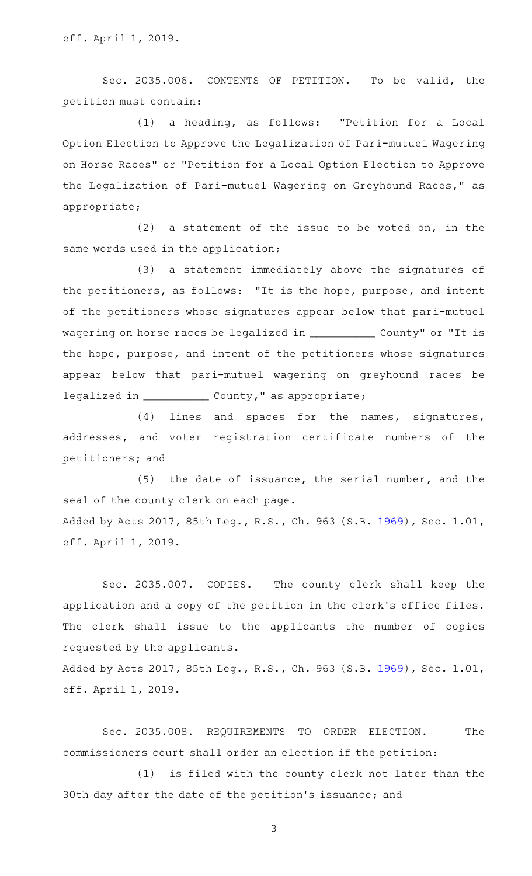Sec. 2035.006. CONTENTS OF PETITION. To be valid, the petition must contain:

(1) a heading, as follows: "Petition for a Local Option Election to Approve the Legalization of Pari-mutuel Wagering on Horse Races" or "Petition for a Local Option Election to Approve the Legalization of Pari-mutuel Wagering on Greyhound Races," as appropriate;

 $(2)$  a statement of the issue to be voted on, in the same words used in the application;

(3) a statement immediately above the signatures of the petitioners, as follows: "It is the hope, purpose, and intent of the petitioners whose signatures appear below that pari-mutuel wagering on horse races be legalized in \_\_\_\_\_\_\_\_\_\_\_\_\_ County" or "It is the hope, purpose, and intent of the petitioners whose signatures appear below that pari-mutuel wagering on greyhound races be legalized in \_\_\_\_\_\_\_\_\_\_\_\_\_ County," as appropriate;

(4) lines and spaces for the names, signatures, addresses, and voter registration certificate numbers of the petitioners; and

(5) the date of issuance, the serial number, and the seal of the county clerk on each page. Added by Acts 2017, 85th Leg., R.S., Ch. 963 (S.B. [1969](http://www.legis.state.tx.us/tlodocs/85R/billtext/html/SB01969F.HTM)), Sec. 1.01, eff. April 1, 2019.

Sec. 2035.007. COPIES. The county clerk shall keep the application and a copy of the petition in the clerk 's office files. The clerk shall issue to the applicants the number of copies requested by the applicants.

Added by Acts 2017, 85th Leg., R.S., Ch. 963 (S.B. [1969](http://www.legis.state.tx.us/tlodocs/85R/billtext/html/SB01969F.HTM)), Sec. 1.01, eff. April 1, 2019.

Sec. 2035.008. REQUIREMENTS TO ORDER ELECTION. The commissioners court shall order an election if the petition:

(1) is filed with the county clerk not later than the 30th day after the date of the petition 's issuance; and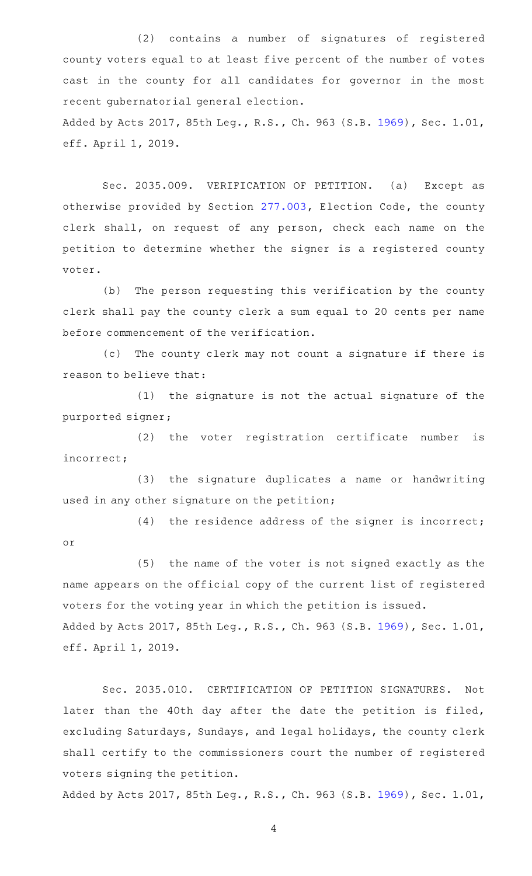(2) contains a number of signatures of registered county voters equal to at least five percent of the number of votes cast in the county for all candidates for governor in the most recent gubernatorial general election. Added by Acts 2017, 85th Leg., R.S., Ch. 963 (S.B. [1969](http://www.legis.state.tx.us/tlodocs/85R/billtext/html/SB01969F.HTM)), Sec. 1.01, eff. April 1, 2019.

Sec. 2035.009. VERIFICATION OF PETITION. (a) Except as otherwise provided by Section [277.003,](http://www.statutes.legis.state.tx.us/GetStatute.aspx?Code=EL&Value=277.003) Election Code, the county clerk shall, on request of any person, check each name on the petition to determine whether the signer is a registered county voter.

(b) The person requesting this verification by the county clerk shall pay the county clerk a sum equal to 20 cents per name before commencement of the verification.

(c) The county clerk may not count a signature if there is reason to believe that:

 $(1)$  the signature is not the actual signature of the purported signer;

 $(2)$  the voter registration certificate number is incorrect;

(3) the signature duplicates a name or handwriting used in any other signature on the petition;

or

(4) the residence address of the signer is incorrect;

(5) the name of the voter is not signed exactly as the name appears on the official copy of the current list of registered voters for the voting year in which the petition is issued. Added by Acts 2017, 85th Leg., R.S., Ch. 963 (S.B. [1969](http://www.legis.state.tx.us/tlodocs/85R/billtext/html/SB01969F.HTM)), Sec. 1.01, eff. April 1, 2019.

Sec. 2035.010. CERTIFICATION OF PETITION SIGNATURES. Not later than the 40th day after the date the petition is filed, excluding Saturdays, Sundays, and legal holidays, the county clerk shall certify to the commissioners court the number of registered voters signing the petition.

Added by Acts 2017, 85th Leg., R.S., Ch. 963 (S.B. [1969](http://www.legis.state.tx.us/tlodocs/85R/billtext/html/SB01969F.HTM)), Sec. 1.01,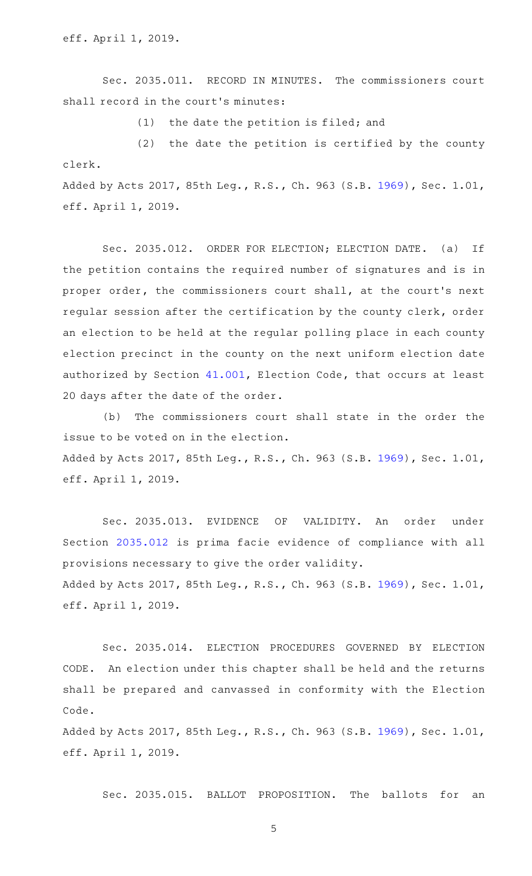eff. April 1, 2019.

Sec. 2035.011. RECORD IN MINUTES. The commissioners court shall record in the court's minutes:

 $(1)$  the date the petition is filed; and

 $(2)$  the date the petition is certified by the county clerk. Added by Acts 2017, 85th Leg., R.S., Ch. 963 (S.B. [1969](http://www.legis.state.tx.us/tlodocs/85R/billtext/html/SB01969F.HTM)), Sec. 1.01,

eff. April 1, 2019.

Sec. 2035.012. ORDER FOR ELECTION; ELECTION DATE. (a) If the petition contains the required number of signatures and is in proper order, the commissioners court shall, at the court's next regular session after the certification by the county clerk, order an election to be held at the regular polling place in each county election precinct in the county on the next uniform election date authorized by Section [41.001,](http://www.statutes.legis.state.tx.us/GetStatute.aspx?Code=EL&Value=41.001) Election Code, that occurs at least 20 days after the date of the order.

(b) The commissioners court shall state in the order the issue to be voted on in the election. Added by Acts 2017, 85th Leg., R.S., Ch. 963 (S.B. [1969](http://www.legis.state.tx.us/tlodocs/85R/billtext/html/SB01969F.HTM)), Sec. 1.01, eff. April 1, 2019.

Sec. 2035.013. EVIDENCE OF VALIDITY. An order under Section [2035.012](http://www.statutes.legis.state.tx.us/GetStatute.aspx?Code=OC&Value=2035.012) is prima facie evidence of compliance with all provisions necessary to give the order validity. Added by Acts 2017, 85th Leg., R.S., Ch. 963 (S.B. [1969](http://www.legis.state.tx.us/tlodocs/85R/billtext/html/SB01969F.HTM)), Sec. 1.01, eff. April 1, 2019.

Sec. 2035.014. ELECTION PROCEDURES GOVERNED BY ELECTION CODE. An election under this chapter shall be held and the returns shall be prepared and canvassed in conformity with the Election Code.

Added by Acts 2017, 85th Leg., R.S., Ch. 963 (S.B. [1969](http://www.legis.state.tx.us/tlodocs/85R/billtext/html/SB01969F.HTM)), Sec. 1.01, eff. April 1, 2019.

Sec. 2035.015. BALLOT PROPOSITION. The ballots for an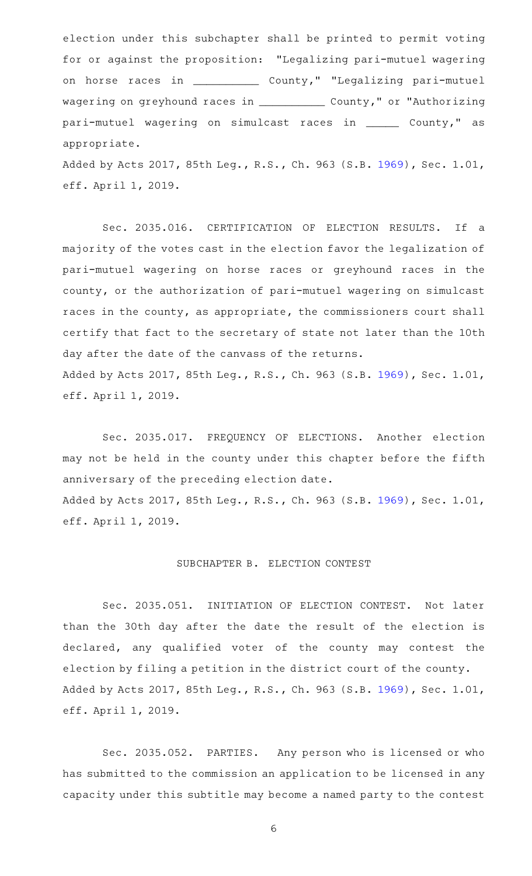election under this subchapter shall be printed to permit voting for or against the proposition: "Legalizing pari-mutuel wagering on horse races in \_\_\_\_\_\_\_\_\_\_\_\_\_ County," "Legalizing pari-mutuel wagering on greyhound races in \_\_\_\_\_\_\_\_\_\_\_\_\_ County," or "Authorizing pari-mutuel wagering on simulcast races in \_\_\_\_\_ County," as appropriate.

Added by Acts 2017, 85th Leg., R.S., Ch. 963 (S.B. [1969](http://www.legis.state.tx.us/tlodocs/85R/billtext/html/SB01969F.HTM)), Sec. 1.01, eff. April 1, 2019.

Sec. 2035.016. CERTIFICATION OF ELECTION RESULTS. If a majority of the votes cast in the election favor the legalization of pari-mutuel wagering on horse races or greyhound races in the county, or the authorization of pari-mutuel wagering on simulcast races in the county, as appropriate, the commissioners court shall certify that fact to the secretary of state not later than the 10th day after the date of the canvass of the returns. Added by Acts 2017, 85th Leg., R.S., Ch. 963 (S.B. [1969](http://www.legis.state.tx.us/tlodocs/85R/billtext/html/SB01969F.HTM)), Sec. 1.01, eff. April 1, 2019.

Sec. 2035.017. FREQUENCY OF ELECTIONS. Another election may not be held in the county under this chapter before the fifth anniversary of the preceding election date. Added by Acts 2017, 85th Leg., R.S., Ch. 963 (S.B. [1969](http://www.legis.state.tx.us/tlodocs/85R/billtext/html/SB01969F.HTM)), Sec. 1.01, eff. April 1, 2019.

## SUBCHAPTER B. ELECTION CONTEST

Sec. 2035.051. INITIATION OF ELECTION CONTEST. Not later than the 30th day after the date the result of the election is declared, any qualified voter of the county may contest the election by filing a petition in the district court of the county. Added by Acts 2017, 85th Leg., R.S., Ch. 963 (S.B. [1969](http://www.legis.state.tx.us/tlodocs/85R/billtext/html/SB01969F.HTM)), Sec. 1.01, eff. April 1, 2019.

Sec. 2035.052. PARTIES. Any person who is licensed or who has submitted to the commission an application to be licensed in any capacity under this subtitle may become a named party to the contest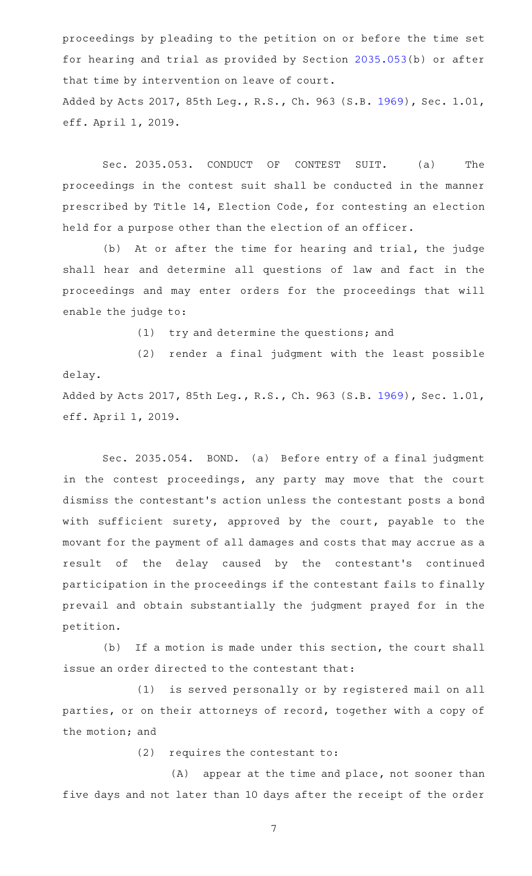proceedings by pleading to the petition on or before the time set for hearing and trial as provided by Section [2035.053](http://www.statutes.legis.state.tx.us/GetStatute.aspx?Code=OC&Value=2035.053)(b) or after that time by intervention on leave of court. Added by Acts 2017, 85th Leg., R.S., Ch. 963 (S.B. [1969](http://www.legis.state.tx.us/tlodocs/85R/billtext/html/SB01969F.HTM)), Sec. 1.01, eff. April 1, 2019.

Sec. 2035.053. CONDUCT OF CONTEST SUIT. (a) The proceedings in the contest suit shall be conducted in the manner prescribed by Title 14, Election Code, for contesting an election held for a purpose other than the election of an officer.

(b) At or after the time for hearing and trial, the judge shall hear and determine all questions of law and fact in the proceedings and may enter orders for the proceedings that will enable the judge to:

(1) try and determine the questions; and

(2) render a final judgment with the least possible delay. Added by Acts 2017, 85th Leg., R.S., Ch. 963 (S.B. [1969](http://www.legis.state.tx.us/tlodocs/85R/billtext/html/SB01969F.HTM)), Sec. 1.01,

eff. April 1, 2019.

Sec. 2035.054. BOND. (a) Before entry of a final judgment in the contest proceedings, any party may move that the court dismiss the contestant 's action unless the contestant posts a bond with sufficient surety, approved by the court, payable to the movant for the payment of all damages and costs that may accrue as a result of the delay caused by the contestant 's continued participation in the proceedings if the contestant fails to finally prevail and obtain substantially the judgment prayed for in the petition.

(b) If a motion is made under this section, the court shall issue an order directed to the contestant that:

(1) is served personally or by registered mail on all parties, or on their attorneys of record, together with a copy of the motion; and

 $(2)$  requires the contestant to:

(A) appear at the time and place, not sooner than five days and not later than 10 days after the receipt of the order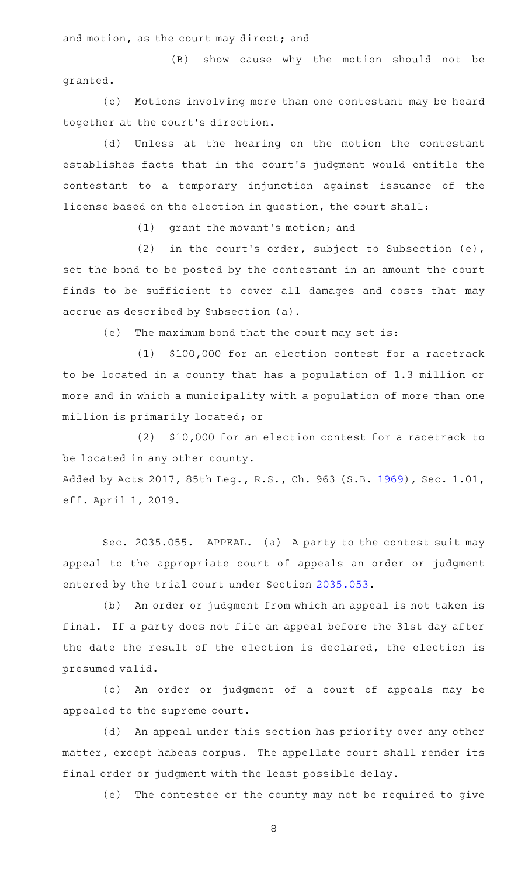and motion, as the court may direct; and

(B) show cause why the motion should not be granted.

(c) Motions involving more than one contestant may be heard together at the court 's direction.

(d) Unless at the hearing on the motion the contestant establishes facts that in the court 's judgment would entitle the contestant to a temporary injunction against issuance of the license based on the election in question, the court shall:

(1) grant the movant's motion; and

(2) in the court's order, subject to Subsection (e), set the bond to be posted by the contestant in an amount the court finds to be sufficient to cover all damages and costs that may accrue as described by Subsection (a).

(e) The maximum bond that the court may set is:

(1) \$100,000 for an election contest for a racetrack to be located in a county that has a population of 1.3 million or more and in which a municipality with a population of more than one million is primarily located; or

(2) \$10,000 for an election contest for a racetrack to be located in any other county.

Added by Acts 2017, 85th Leg., R.S., Ch. 963 (S.B. [1969](http://www.legis.state.tx.us/tlodocs/85R/billtext/html/SB01969F.HTM)), Sec. 1.01, eff. April 1, 2019.

Sec. 2035.055. APPEAL. (a) A party to the contest suit may appeal to the appropriate court of appeals an order or judgment entered by the trial court under Section [2035.053](http://www.statutes.legis.state.tx.us/GetStatute.aspx?Code=OC&Value=2035.053).

(b) An order or judgment from which an appeal is not taken is final. If a party does not file an appeal before the 31st day after the date the result of the election is declared, the election is presumed valid.

(c)AAAn order or judgment of a court of appeals may be appealed to the supreme court.

(d) An appeal under this section has priority over any other matter, except habeas corpus. The appellate court shall render its final order or judgment with the least possible delay.

(e) The contestee or the county may not be required to give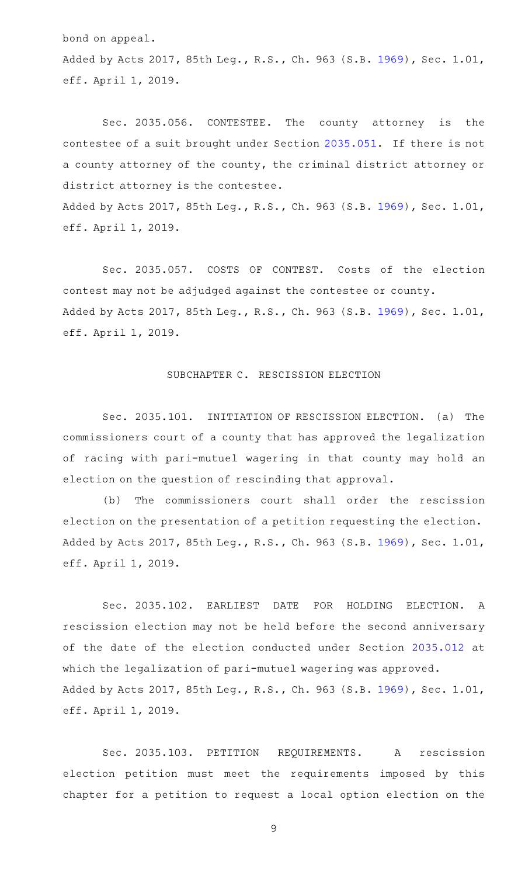bond on appeal.

Added by Acts 2017, 85th Leg., R.S., Ch. 963 (S.B. [1969](http://www.legis.state.tx.us/tlodocs/85R/billtext/html/SB01969F.HTM)), Sec. 1.01, eff. April 1, 2019.

Sec. 2035.056. CONTESTEE. The county attorney is the contestee of a suit brought under Section [2035.051](http://www.statutes.legis.state.tx.us/GetStatute.aspx?Code=OC&Value=2035.051). If there is not a county attorney of the county, the criminal district attorney or district attorney is the contestee.

Added by Acts 2017, 85th Leg., R.S., Ch. 963 (S.B. [1969](http://www.legis.state.tx.us/tlodocs/85R/billtext/html/SB01969F.HTM)), Sec. 1.01, eff. April 1, 2019.

Sec. 2035.057. COSTS OF CONTEST. Costs of the election contest may not be adjudged against the contestee or county. Added by Acts 2017, 85th Leg., R.S., Ch. 963 (S.B. [1969](http://www.legis.state.tx.us/tlodocs/85R/billtext/html/SB01969F.HTM)), Sec. 1.01, eff. April 1, 2019.

## SUBCHAPTER C. RESCISSION ELECTION

Sec. 2035.101. INITIATION OF RESCISSION ELECTION. (a) The commissioners court of a county that has approved the legalization of racing with pari-mutuel wagering in that county may hold an election on the question of rescinding that approval.

(b) The commissioners court shall order the rescission election on the presentation of a petition requesting the election. Added by Acts 2017, 85th Leg., R.S., Ch. 963 (S.B. [1969](http://www.legis.state.tx.us/tlodocs/85R/billtext/html/SB01969F.HTM)), Sec. 1.01, eff. April 1, 2019.

Sec. 2035.102. EARLIEST DATE FOR HOLDING ELECTION. A rescission election may not be held before the second anniversary of the date of the election conducted under Section [2035.012](http://www.statutes.legis.state.tx.us/GetStatute.aspx?Code=OC&Value=2035.012) at which the legalization of pari-mutuel wagering was approved. Added by Acts 2017, 85th Leg., R.S., Ch. 963 (S.B. [1969](http://www.legis.state.tx.us/tlodocs/85R/billtext/html/SB01969F.HTM)), Sec. 1.01, eff. April 1, 2019.

Sec. 2035.103. PETITION REQUIREMENTS. A rescission election petition must meet the requirements imposed by this chapter for a petition to request a local option election on the